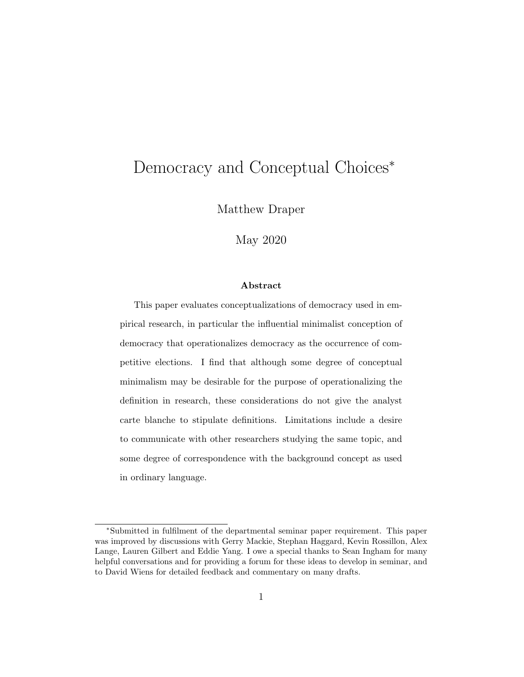# Democracy and Conceptual Choices<sup>∗</sup>

Matthew Draper

May 2020

#### Abstract

This paper evaluates conceptualizations of democracy used in empirical research, in particular the influential minimalist conception of democracy that operationalizes democracy as the occurrence of competitive elections. I find that although some degree of conceptual minimalism may be desirable for the purpose of operationalizing the definition in research, these considerations do not give the analyst carte blanche to stipulate definitions. Limitations include a desire to communicate with other researchers studying the same topic, and some degree of correspondence with the background concept as used in ordinary language.

<sup>∗</sup>Submitted in fulfilment of the departmental seminar paper requirement. This paper was improved by discussions with Gerry Mackie, Stephan Haggard, Kevin Rossillon, Alex Lange, Lauren Gilbert and Eddie Yang. I owe a special thanks to Sean Ingham for many helpful conversations and for providing a forum for these ideas to develop in seminar, and to David Wiens for detailed feedback and commentary on many drafts.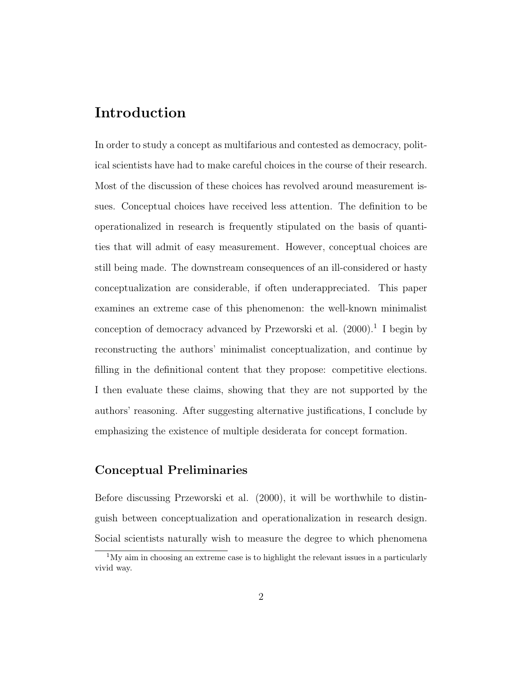### Introduction

In order to study a concept as multifarious and contested as democracy, political scientists have had to make careful choices in the course of their research. Most of the discussion of these choices has revolved around measurement issues. Conceptual choices have received less attention. The definition to be operationalized in research is frequently stipulated on the basis of quantities that will admit of easy measurement. However, conceptual choices are still being made. The downstream consequences of an ill-considered or hasty conceptualization are considerable, if often underappreciated. This paper examines an extreme case of this phenomenon: the well-known minimalist conception of democracy advanced by Przeworski et al.  $(2000).$ <sup>1</sup> I begin by reconstructing the authors' minimalist conceptualization, and continue by filling in the definitional content that they propose: competitive elections. I then evaluate these claims, showing that they are not supported by the authors' reasoning. After suggesting alternative justifications, I conclude by emphasizing the existence of multiple desiderata for concept formation.

#### Conceptual Preliminaries

Before discussing Przeworski et al. (2000), it will be worthwhile to distinguish between conceptualization and operationalization in research design. Social scientists naturally wish to measure the degree to which phenomena

 $1<sup>1</sup>$ My aim in choosing an extreme case is to highlight the relevant issues in a particularly vivid way.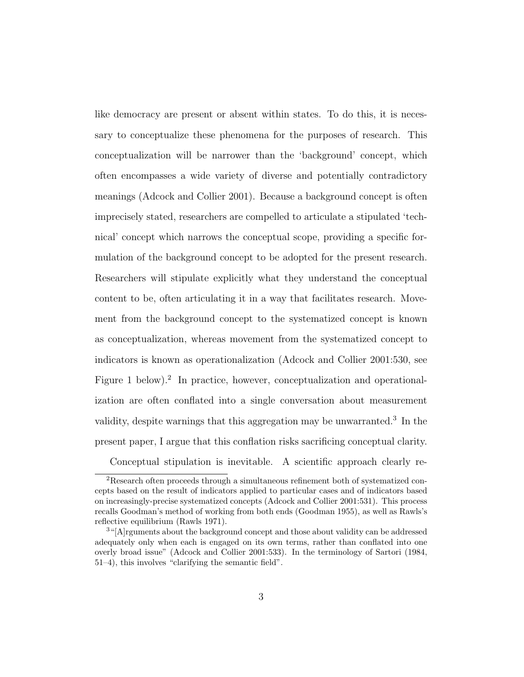like democracy are present or absent within states. To do this, it is necessary to conceptualize these phenomena for the purposes of research. This conceptualization will be narrower than the 'background' concept, which often encompasses a wide variety of diverse and potentially contradictory meanings (Adcock and Collier 2001). Because a background concept is often imprecisely stated, researchers are compelled to articulate a stipulated 'technical' concept which narrows the conceptual scope, providing a specific formulation of the background concept to be adopted for the present research. Researchers will stipulate explicitly what they understand the conceptual content to be, often articulating it in a way that facilitates research. Movement from the background concept to the systematized concept is known as conceptualization, whereas movement from the systematized concept to indicators is known as operationalization (Adcock and Collier 2001:530, see Figure 1 below).<sup>2</sup> In practice, however, conceptualization and operationalization are often conflated into a single conversation about measurement validity, despite warnings that this aggregation may be unwarranted.<sup>3</sup> In the present paper, I argue that this conflation risks sacrificing conceptual clarity.

Conceptual stipulation is inevitable. A scientific approach clearly re-

<sup>2</sup>Research often proceeds through a simultaneous refinement both of systematized concepts based on the result of indicators applied to particular cases and of indicators based on increasingly-precise systematized concepts (Adcock and Collier 2001:531). This process recalls Goodman's method of working from both ends (Goodman 1955), as well as Rawls's reflective equilibrium (Rawls 1971).

<sup>&</sup>lt;sup>3</sup>"[A]rguments about the background concept and those about validity can be addressed adequately only when each is engaged on its own terms, rather than conflated into one overly broad issue" (Adcock and Collier 2001:533). In the terminology of Sartori (1984, 51–4), this involves "clarifying the semantic field".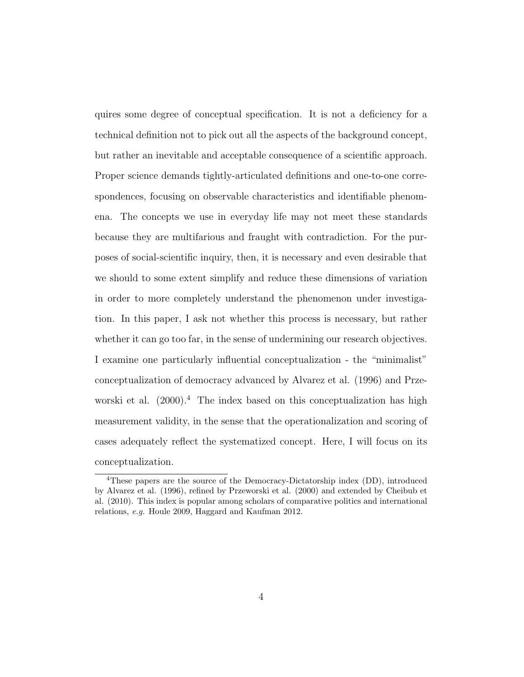quires some degree of conceptual specification. It is not a deficiency for a technical definition not to pick out all the aspects of the background concept, but rather an inevitable and acceptable consequence of a scientific approach. Proper science demands tightly-articulated definitions and one-to-one correspondences, focusing on observable characteristics and identifiable phenomena. The concepts we use in everyday life may not meet these standards because they are multifarious and fraught with contradiction. For the purposes of social-scientific inquiry, then, it is necessary and even desirable that we should to some extent simplify and reduce these dimensions of variation in order to more completely understand the phenomenon under investigation. In this paper, I ask not whether this process is necessary, but rather whether it can go too far, in the sense of undermining our research objectives. I examine one particularly influential conceptualization - the "minimalist" conceptualization of democracy advanced by Alvarez et al. (1996) and Przeworski et al.  $(2000)^4$ . The index based on this conceptualization has high measurement validity, in the sense that the operationalization and scoring of cases adequately reflect the systematized concept. Here, I will focus on its conceptualization.

<sup>4</sup>These papers are the source of the Democracy-Dictatorship index (DD), introduced by Alvarez et al. (1996), refined by Przeworski et al. (2000) and extended by Cheibub et al. (2010). This index is popular among scholars of comparative politics and international relations, e.g. Houle 2009, Haggard and Kaufman 2012.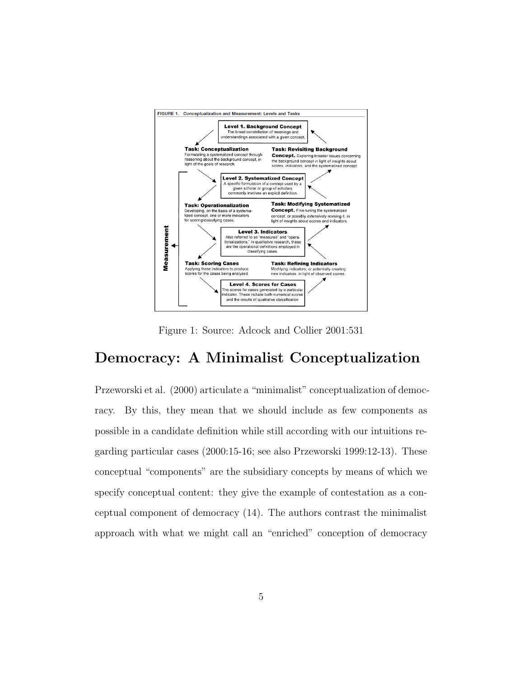

Figure 1: Source: Adcock and Collier 2001:531

#### Democracy: A Minimalist Conceptualization

Przeworski et al. (2000) articulate a "minimalist" conceptualization of democracy. By this, they mean that we should include as few components as possible in a candidate definition while still according with our intuitions regarding particular cases (2000:15-16; see also Przeworski 1999:12-13). These conceptual "components" are the subsidiary concepts by means of which we specify conceptual content: they give the example of contestation as a conceptual component of democracy (14). The authors contrast the minimalist approach with what we might call an "enriched" conception of democracy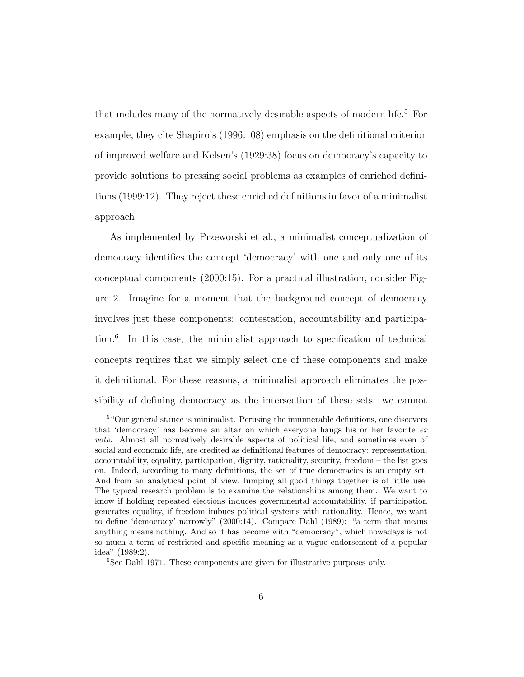that includes many of the normatively desirable aspects of modern life.<sup>5</sup> For example, they cite Shapiro's (1996:108) emphasis on the definitional criterion of improved welfare and Kelsen's (1929:38) focus on democracy's capacity to provide solutions to pressing social problems as examples of enriched definitions (1999:12). They reject these enriched definitions in favor of a minimalist approach.

As implemented by Przeworski et al., a minimalist conceptualization of democracy identifies the concept 'democracy' with one and only one of its conceptual components (2000:15). For a practical illustration, consider Figure 2. Imagine for a moment that the background concept of democracy involves just these components: contestation, accountability and participation.<sup>6</sup> In this case, the minimalist approach to specification of technical concepts requires that we simply select one of these components and make it definitional. For these reasons, a minimalist approach eliminates the possibility of defining democracy as the intersection of these sets: we cannot

<sup>5</sup>"Our general stance is minimalist. Perusing the innumerable definitions, one discovers that 'democracy' has become an altar on which everyone hangs his or her favorite ex voto. Almost all normatively desirable aspects of political life, and sometimes even of social and economic life, are credited as definitional features of democracy: representation, accountability, equality, participation, dignity, rationality, security, freedom – the list goes on. Indeed, according to many definitions, the set of true democracies is an empty set. And from an analytical point of view, lumping all good things together is of little use. The typical research problem is to examine the relationships among them. We want to know if holding repeated elections induces governmental accountability, if participation generates equality, if freedom imbues political systems with rationality. Hence, we want to define 'democracy' narrowly" (2000:14). Compare Dahl (1989): "a term that means anything means nothing. And so it has become with "democracy", which nowadays is not so much a term of restricted and specific meaning as a vague endorsement of a popular idea" (1989:2).

<sup>6</sup>See Dahl 1971. These components are given for illustrative purposes only.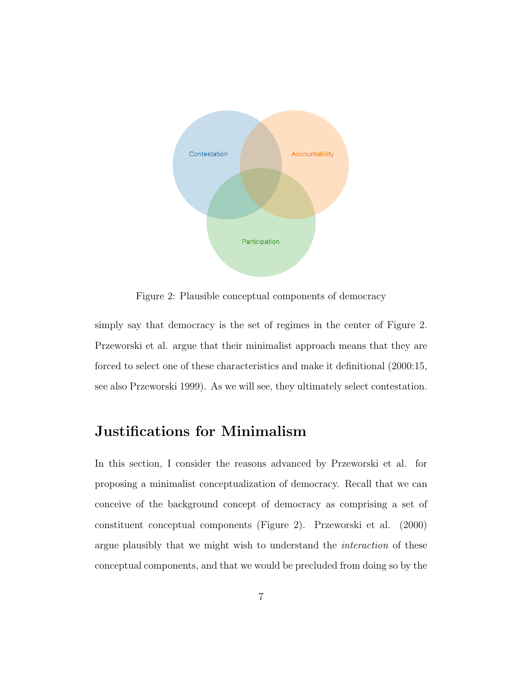

Figure 2: Plausible conceptual components of democracy

simply say that democracy is the set of regimes in the center of Figure 2. Przeworski et al. argue that their minimalist approach means that they are forced to select one of these characteristics and make it definitional (2000:15, see also Przeworski 1999). As we will see, they ultimately select contestation.

### Justifications for Minimalism

In this section, I consider the reasons advanced by Przeworski et al. for proposing a minimalist conceptualization of democracy. Recall that we can conceive of the background concept of democracy as comprising a set of constituent conceptual components (Figure 2). Przeworski et al. (2000) argue plausibly that we might wish to understand the interaction of these conceptual components, and that we would be precluded from doing so by the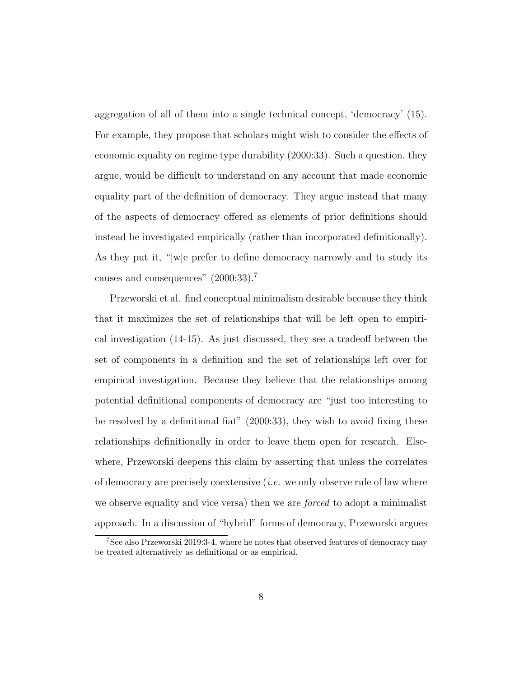aggregation of all of them into a single technical concept, 'democracy' (15). For example, they propose that scholars might wish to consider the effects of economic equality on regime type durability (2000:33). Such a question, they argue, would be difficult to understand on any account that made economic equality part of the definition of democracy. They argue instead that many of the aspects of democracy offered as elements of prior definitions should instead be investigated empirically (rather than incorporated definitionally). As they put it, "[w]e prefer to define democracy narrowly and to study its causes and consequences" (2000:33).<sup>7</sup>

Przeworski et al. find conceptual minimalism desirable because they think that it maximizes the set of relationships that will be left open to empirical investigation (14-15). As just discussed, they see a tradeoff between the set of components in a definition and the set of relationships left over for empirical investigation. Because they believe that the relationships among potential definitional components of democracy are "just too interesting to be resolved by a definitional fiat" (2000:33), they wish to avoid fixing these relationships definitionally in order to leave them open for research. Elsewhere, Przeworski deepens this claim by asserting that unless the correlates of democracy are precisely coextensive  $(i.e.$  we only observe rule of law where we observe equality and vice versa) then we are *forced* to adopt a minimalist approach. In a discussion of "hybrid" forms of democracy, Przeworski argues

<sup>7</sup>See also Przeworski 2019:3-4, where he notes that observed features of democracy may be treated alternatively as definitional or as empirical.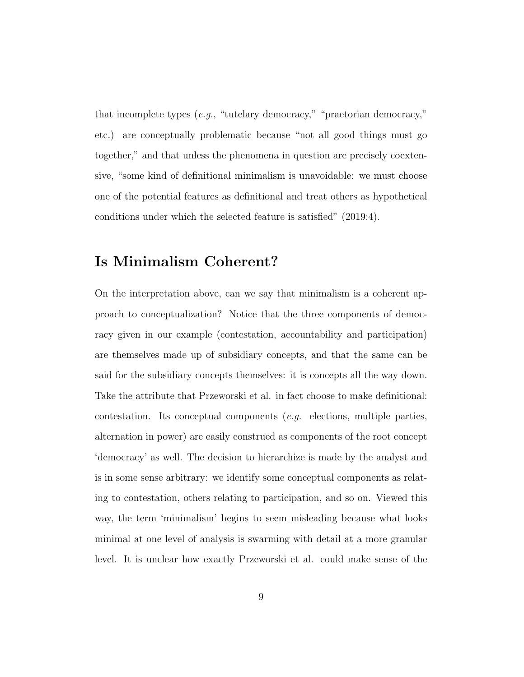that incomplete types (e.g., "tutelary democracy," "praetorian democracy," etc.) are conceptually problematic because "not all good things must go together," and that unless the phenomena in question are precisely coextensive, "some kind of definitional minimalism is unavoidable: we must choose one of the potential features as definitional and treat others as hypothetical conditions under which the selected feature is satisfied" (2019:4).

### Is Minimalism Coherent?

On the interpretation above, can we say that minimalism is a coherent approach to conceptualization? Notice that the three components of democracy given in our example (contestation, accountability and participation) are themselves made up of subsidiary concepts, and that the same can be said for the subsidiary concepts themselves: it is concepts all the way down. Take the attribute that Przeworski et al. in fact choose to make definitional: contestation. Its conceptual components  $(e,q.$  elections, multiple parties, alternation in power) are easily construed as components of the root concept 'democracy' as well. The decision to hierarchize is made by the analyst and is in some sense arbitrary: we identify some conceptual components as relating to contestation, others relating to participation, and so on. Viewed this way, the term 'minimalism' begins to seem misleading because what looks minimal at one level of analysis is swarming with detail at a more granular level. It is unclear how exactly Przeworski et al. could make sense of the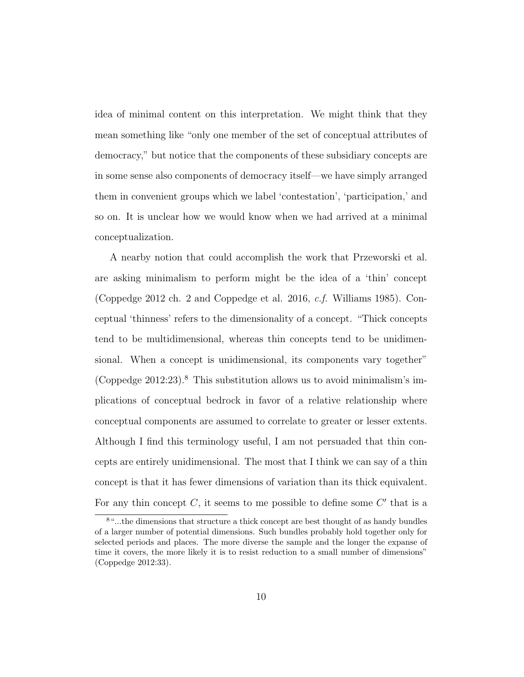idea of minimal content on this interpretation. We might think that they mean something like "only one member of the set of conceptual attributes of democracy," but notice that the components of these subsidiary concepts are in some sense also components of democracy itself—we have simply arranged them in convenient groups which we label 'contestation', 'participation,' and so on. It is unclear how we would know when we had arrived at a minimal conceptualization.

A nearby notion that could accomplish the work that Przeworski et al. are asking minimalism to perform might be the idea of a 'thin' concept (Coppedge 2012 ch. 2 and Coppedge et al. 2016, c.f. Williams 1985). Conceptual 'thinness' refers to the dimensionality of a concept. "Thick concepts tend to be multidimensional, whereas thin concepts tend to be unidimensional. When a concept is unidimensional, its components vary together" (Coppedge  $2012:23$ ).<sup>8</sup> This substitution allows us to avoid minimalism's implications of conceptual bedrock in favor of a relative relationship where conceptual components are assumed to correlate to greater or lesser extents. Although I find this terminology useful, I am not persuaded that thin concepts are entirely unidimensional. The most that I think we can say of a thin concept is that it has fewer dimensions of variation than its thick equivalent. For any thin concept  $C$ , it seems to me possible to define some  $C'$  that is a

<sup>8</sup>"...the dimensions that structure a thick concept are best thought of as handy bundles of a larger number of potential dimensions. Such bundles probably hold together only for selected periods and places. The more diverse the sample and the longer the expanse of time it covers, the more likely it is to resist reduction to a small number of dimensions" (Coppedge 2012:33).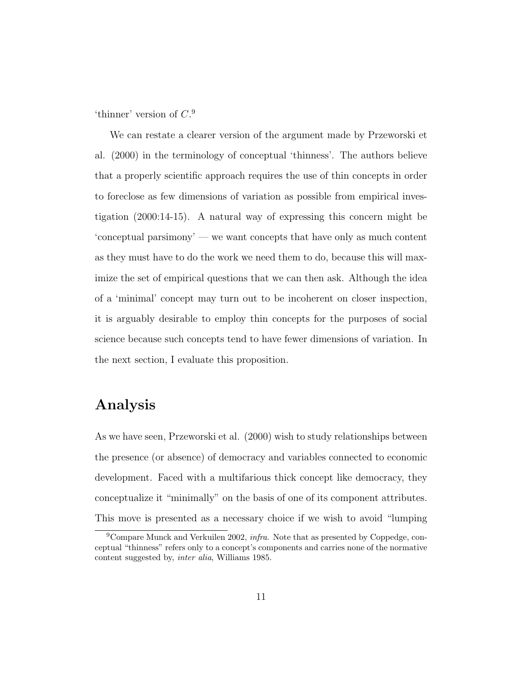'thinner' version of  $C<sup>9</sup>$ 

We can restate a clearer version of the argument made by Przeworski et al. (2000) in the terminology of conceptual 'thinness'. The authors believe that a properly scientific approach requires the use of thin concepts in order to foreclose as few dimensions of variation as possible from empirical investigation (2000:14-15). A natural way of expressing this concern might be 'conceptual parsimony' — we want concepts that have only as much content as they must have to do the work we need them to do, because this will maximize the set of empirical questions that we can then ask. Although the idea of a 'minimal' concept may turn out to be incoherent on closer inspection, it is arguably desirable to employ thin concepts for the purposes of social science because such concepts tend to have fewer dimensions of variation. In the next section, I evaluate this proposition.

#### Analysis

As we have seen, Przeworski et al. (2000) wish to study relationships between the presence (or absence) of democracy and variables connected to economic development. Faced with a multifarious thick concept like democracy, they conceptualize it "minimally" on the basis of one of its component attributes. This move is presented as a necessary choice if we wish to avoid "lumping

<sup>&</sup>lt;sup>9</sup>Compare Munck and Verkuilen 2002, *infra*. Note that as presented by Coppedge, conceptual "thinness" refers only to a concept's components and carries none of the normative content suggested by, inter alia, Williams 1985.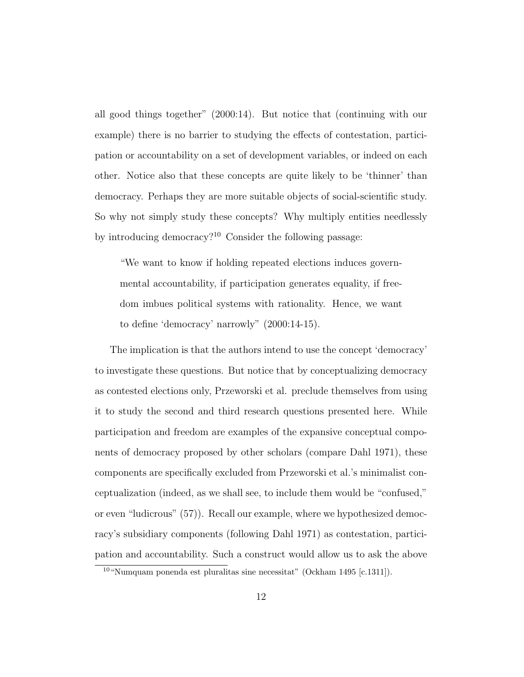all good things together" (2000:14). But notice that (continuing with our example) there is no barrier to studying the effects of contestation, participation or accountability on a set of development variables, or indeed on each other. Notice also that these concepts are quite likely to be 'thinner' than democracy. Perhaps they are more suitable objects of social-scientific study. So why not simply study these concepts? Why multiply entities needlessly by introducing democracy?<sup>10</sup> Consider the following passage:

"We want to know if holding repeated elections induces governmental accountability, if participation generates equality, if freedom imbues political systems with rationality. Hence, we want to define 'democracy' narrowly" (2000:14-15).

The implication is that the authors intend to use the concept 'democracy' to investigate these questions. But notice that by conceptualizing democracy as contested elections only, Przeworski et al. preclude themselves from using it to study the second and third research questions presented here. While participation and freedom are examples of the expansive conceptual components of democracy proposed by other scholars (compare Dahl 1971), these components are specifically excluded from Przeworski et al.'s minimalist conceptualization (indeed, as we shall see, to include them would be "confused," or even "ludicrous" (57)). Recall our example, where we hypothesized democracy's subsidiary components (following Dahl 1971) as contestation, participation and accountability. Such a construct would allow us to ask the above

 $10$  "Numquam ponenda est pluralitas sine necessitat" (Ockham 1495 [c.1311]).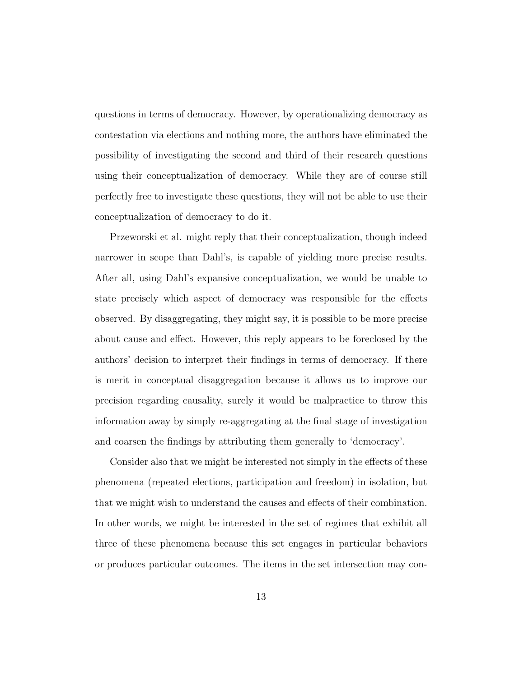questions in terms of democracy. However, by operationalizing democracy as contestation via elections and nothing more, the authors have eliminated the possibility of investigating the second and third of their research questions using their conceptualization of democracy. While they are of course still perfectly free to investigate these questions, they will not be able to use their conceptualization of democracy to do it.

Przeworski et al. might reply that their conceptualization, though indeed narrower in scope than Dahl's, is capable of yielding more precise results. After all, using Dahl's expansive conceptualization, we would be unable to state precisely which aspect of democracy was responsible for the effects observed. By disaggregating, they might say, it is possible to be more precise about cause and effect. However, this reply appears to be foreclosed by the authors' decision to interpret their findings in terms of democracy. If there is merit in conceptual disaggregation because it allows us to improve our precision regarding causality, surely it would be malpractice to throw this information away by simply re-aggregating at the final stage of investigation and coarsen the findings by attributing them generally to 'democracy'.

Consider also that we might be interested not simply in the effects of these phenomena (repeated elections, participation and freedom) in isolation, but that we might wish to understand the causes and effects of their combination. In other words, we might be interested in the set of regimes that exhibit all three of these phenomena because this set engages in particular behaviors or produces particular outcomes. The items in the set intersection may con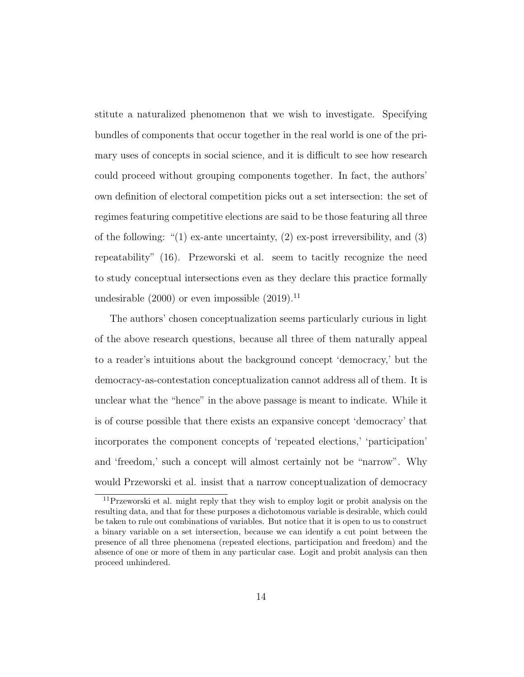stitute a naturalized phenomenon that we wish to investigate. Specifying bundles of components that occur together in the real world is one of the primary uses of concepts in social science, and it is difficult to see how research could proceed without grouping components together. In fact, the authors' own definition of electoral competition picks out a set intersection: the set of regimes featuring competitive elections are said to be those featuring all three of the following: " $(1)$  ex-ante uncertainty,  $(2)$  ex-post irreversibility, and  $(3)$ repeatability" (16). Przeworski et al. seem to tacitly recognize the need to study conceptual intersections even as they declare this practice formally undesirable  $(2000)$  or even impossible  $(2019).<sup>11</sup>$ 

The authors' chosen conceptualization seems particularly curious in light of the above research questions, because all three of them naturally appeal to a reader's intuitions about the background concept 'democracy,' but the democracy-as-contestation conceptualization cannot address all of them. It is unclear what the "hence" in the above passage is meant to indicate. While it is of course possible that there exists an expansive concept 'democracy' that incorporates the component concepts of 'repeated elections,' 'participation' and 'freedom,' such a concept will almost certainly not be "narrow". Why would Przeworski et al. insist that a narrow conceptualization of democracy

<sup>&</sup>lt;sup>11</sup>Przeworski et al. might reply that they wish to employ logit or probit analysis on the resulting data, and that for these purposes a dichotomous variable is desirable, which could be taken to rule out combinations of variables. But notice that it is open to us to construct a binary variable on a set intersection, because we can identify a cut point between the presence of all three phenomena (repeated elections, participation and freedom) and the absence of one or more of them in any particular case. Logit and probit analysis can then proceed unhindered.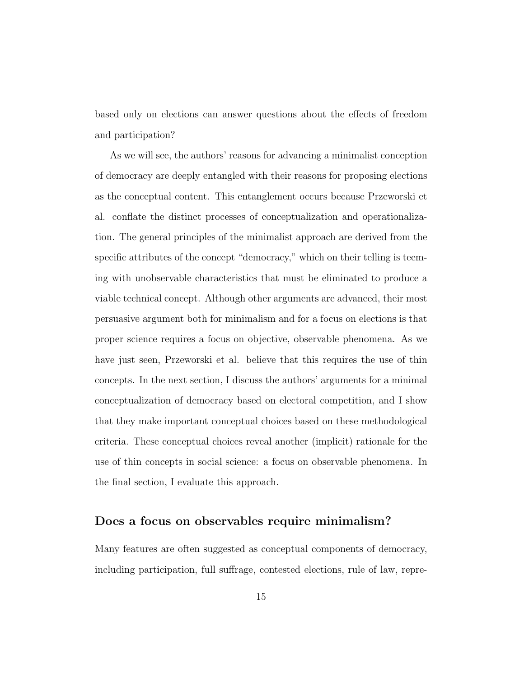based only on elections can answer questions about the effects of freedom and participation?

As we will see, the authors' reasons for advancing a minimalist conception of democracy are deeply entangled with their reasons for proposing elections as the conceptual content. This entanglement occurs because Przeworski et al. conflate the distinct processes of conceptualization and operationalization. The general principles of the minimalist approach are derived from the specific attributes of the concept "democracy," which on their telling is teeming with unobservable characteristics that must be eliminated to produce a viable technical concept. Although other arguments are advanced, their most persuasive argument both for minimalism and for a focus on elections is that proper science requires a focus on objective, observable phenomena. As we have just seen, Przeworski et al. believe that this requires the use of thin concepts. In the next section, I discuss the authors' arguments for a minimal conceptualization of democracy based on electoral competition, and I show that they make important conceptual choices based on these methodological criteria. These conceptual choices reveal another (implicit) rationale for the use of thin concepts in social science: a focus on observable phenomena. In the final section, I evaluate this approach.

#### Does a focus on observables require minimalism?

Many features are often suggested as conceptual components of democracy, including participation, full suffrage, contested elections, rule of law, repre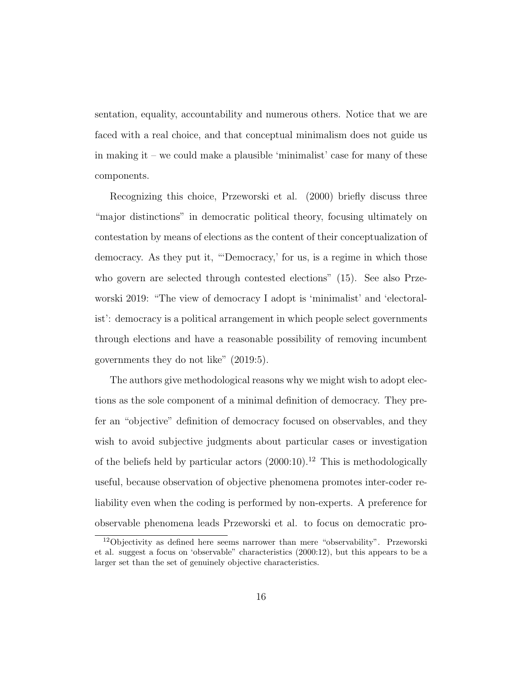sentation, equality, accountability and numerous others. Notice that we are faced with a real choice, and that conceptual minimalism does not guide us in making it – we could make a plausible 'minimalist' case for many of these components.

Recognizing this choice, Przeworski et al. (2000) briefly discuss three "major distinctions" in democratic political theory, focusing ultimately on contestation by means of elections as the content of their conceptualization of democracy. As they put it, "'Democracy,' for us, is a regime in which those who govern are selected through contested elections" (15). See also Przeworski 2019: "The view of democracy I adopt is 'minimalist' and 'electoralist': democracy is a political arrangement in which people select governments through elections and have a reasonable possibility of removing incumbent governments they do not like" (2019:5).

The authors give methodological reasons why we might wish to adopt elections as the sole component of a minimal definition of democracy. They prefer an "objective" definition of democracy focused on observables, and they wish to avoid subjective judgments about particular cases or investigation of the beliefs held by particular actors  $(2000:10).<sup>12</sup>$  This is methodologically useful, because observation of objective phenomena promotes inter-coder reliability even when the coding is performed by non-experts. A preference for observable phenomena leads Przeworski et al. to focus on democratic pro-

<sup>12</sup>Objectivity as defined here seems narrower than mere "observability". Przeworski et al. suggest a focus on 'observable" characteristics (2000:12), but this appears to be a larger set than the set of genuinely objective characteristics.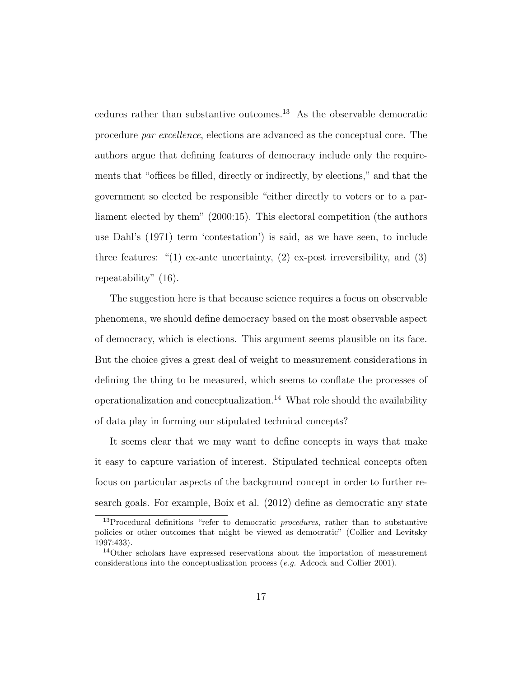cedures rather than substantive outcomes.<sup>13</sup> As the observable democratic procedure par excellence, elections are advanced as the conceptual core. The authors argue that defining features of democracy include only the requirements that "offices be filled, directly or indirectly, by elections," and that the government so elected be responsible "either directly to voters or to a parliament elected by them" (2000:15). This electoral competition (the authors use Dahl's (1971) term 'contestation') is said, as we have seen, to include three features: " $(1)$  ex-ante uncertainty,  $(2)$  ex-post irreversibility, and  $(3)$ repeatability" (16).

The suggestion here is that because science requires a focus on observable phenomena, we should define democracy based on the most observable aspect of democracy, which is elections. This argument seems plausible on its face. But the choice gives a great deal of weight to measurement considerations in defining the thing to be measured, which seems to conflate the processes of operationalization and conceptualization.<sup>14</sup> What role should the availability of data play in forming our stipulated technical concepts?

It seems clear that we may want to define concepts in ways that make it easy to capture variation of interest. Stipulated technical concepts often focus on particular aspects of the background concept in order to further research goals. For example, Boix et al. (2012) define as democratic any state

<sup>&</sup>lt;sup>13</sup>Procedural definitions "refer to democratic *procedures*, rather than to substantive policies or other outcomes that might be viewed as democratic" (Collier and Levitsky 1997:433).

<sup>&</sup>lt;sup>14</sup>Other scholars have expressed reservations about the importation of measurement considerations into the conceptualization process (e.g. Adcock and Collier 2001).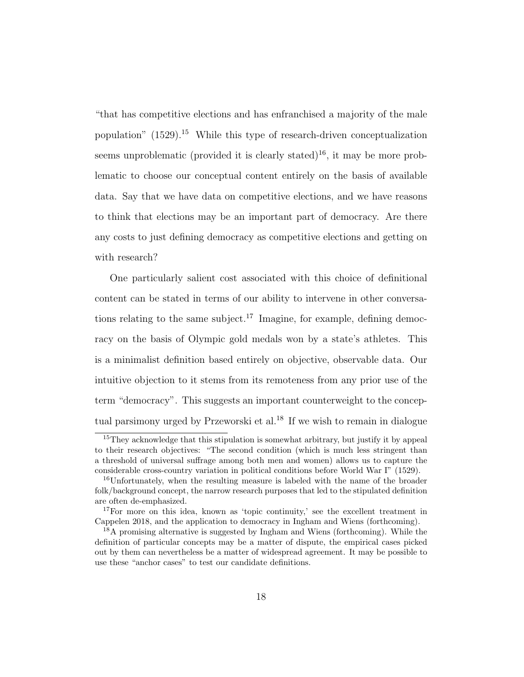"that has competitive elections and has enfranchised a majority of the male population"  $(1529).$ <sup>15</sup> While this type of research-driven conceptualization seems unproblematic (provided it is clearly stated)<sup>16</sup>, it may be more problematic to choose our conceptual content entirely on the basis of available data. Say that we have data on competitive elections, and we have reasons to think that elections may be an important part of democracy. Are there any costs to just defining democracy as competitive elections and getting on with research?

One particularly salient cost associated with this choice of definitional content can be stated in terms of our ability to intervene in other conversations relating to the same subject.<sup>17</sup> Imagine, for example, defining democracy on the basis of Olympic gold medals won by a state's athletes. This is a minimalist definition based entirely on objective, observable data. Our intuitive objection to it stems from its remoteness from any prior use of the term "democracy". This suggests an important counterweight to the conceptual parsimony urged by Przeworski et al.<sup>18</sup> If we wish to remain in dialogue

<sup>&</sup>lt;sup>15</sup>They acknowledge that this stipulation is somewhat arbitrary, but justify it by appeal to their research objectives: "The second condition (which is much less stringent than a threshold of universal suffrage among both men and women) allows us to capture the considerable cross-country variation in political conditions before World War I" (1529).

<sup>16</sup>Unfortunately, when the resulting measure is labeled with the name of the broader folk/background concept, the narrow research purposes that led to the stipulated definition are often de-emphasized.

<sup>17</sup>For more on this idea, known as 'topic continuity,' see the excellent treatment in Cappelen 2018, and the application to democracy in Ingham and Wiens (forthcoming).

<sup>18</sup>A promising alternative is suggested by Ingham and Wiens (forthcoming). While the definition of particular concepts may be a matter of dispute, the empirical cases picked out by them can nevertheless be a matter of widespread agreement. It may be possible to use these "anchor cases" to test our candidate definitions.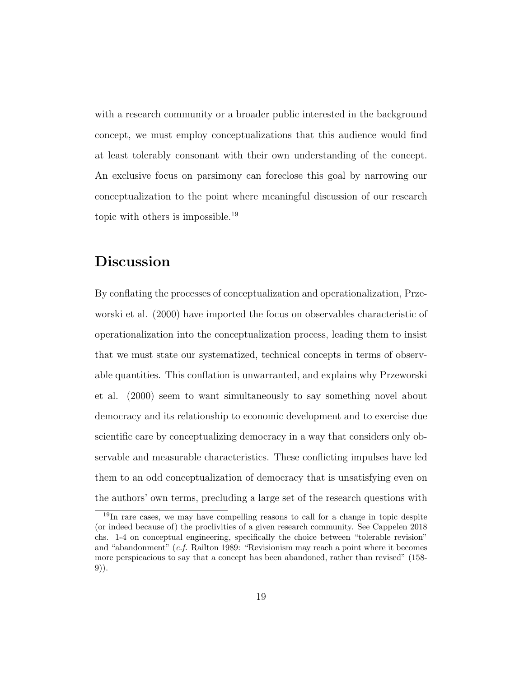with a research community or a broader public interested in the background concept, we must employ conceptualizations that this audience would find at least tolerably consonant with their own understanding of the concept. An exclusive focus on parsimony can foreclose this goal by narrowing our conceptualization to the point where meaningful discussion of our research topic with others is impossible.<sup>19</sup>

## Discussion

By conflating the processes of conceptualization and operationalization, Przeworski et al. (2000) have imported the focus on observables characteristic of operationalization into the conceptualization process, leading them to insist that we must state our systematized, technical concepts in terms of observable quantities. This conflation is unwarranted, and explains why Przeworski et al. (2000) seem to want simultaneously to say something novel about democracy and its relationship to economic development and to exercise due scientific care by conceptualizing democracy in a way that considers only observable and measurable characteristics. These conflicting impulses have led them to an odd conceptualization of democracy that is unsatisfying even on the authors' own terms, precluding a large set of the research questions with

<sup>19</sup>In rare cases, we may have compelling reasons to call for a change in topic despite (or indeed because of) the proclivities of a given research community. See Cappelen 2018 chs. 1-4 on conceptual engineering, specifically the choice between "tolerable revision" and "abandonment" (c.f. Railton 1989: "Revisionism may reach a point where it becomes more perspicacious to say that a concept has been abandoned, rather than revised" (158- 9)).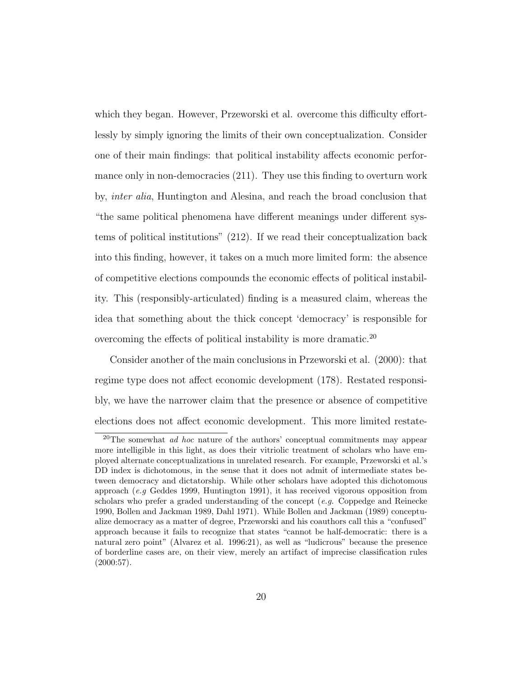which they began. However, Przeworski et al. overcome this difficulty effortlessly by simply ignoring the limits of their own conceptualization. Consider one of their main findings: that political instability affects economic performance only in non-democracies (211). They use this finding to overturn work by, inter alia, Huntington and Alesina, and reach the broad conclusion that "the same political phenomena have different meanings under different systems of political institutions" (212). If we read their conceptualization back into this finding, however, it takes on a much more limited form: the absence of competitive elections compounds the economic effects of political instability. This (responsibly-articulated) finding is a measured claim, whereas the idea that something about the thick concept 'democracy' is responsible for overcoming the effects of political instability is more dramatic.<sup>20</sup>

Consider another of the main conclusions in Przeworski et al. (2000): that regime type does not affect economic development (178). Restated responsibly, we have the narrower claim that the presence or absence of competitive elections does not affect economic development. This more limited restate-

<sup>&</sup>lt;sup>20</sup>The somewhat *ad hoc* nature of the authors' conceptual commitments may appear more intelligible in this light, as does their vitriolic treatment of scholars who have employed alternate conceptualizations in unrelated research. For example, Przeworski et al.'s DD index is dichotomous, in the sense that it does not admit of intermediate states between democracy and dictatorship. While other scholars have adopted this dichotomous approach (e.g Geddes 1999, Huntington 1991), it has received vigorous opposition from scholars who prefer a graded understanding of the concept (e.g. Coppedge and Reinecke 1990, Bollen and Jackman 1989, Dahl 1971). While Bollen and Jackman (1989) conceptualize democracy as a matter of degree, Przeworski and his coauthors call this a "confused" approach because it fails to recognize that states "cannot be half-democratic: there is a natural zero point" (Alvarez et al. 1996:21), as well as "ludicrous" because the presence of borderline cases are, on their view, merely an artifact of imprecise classification rules (2000:57).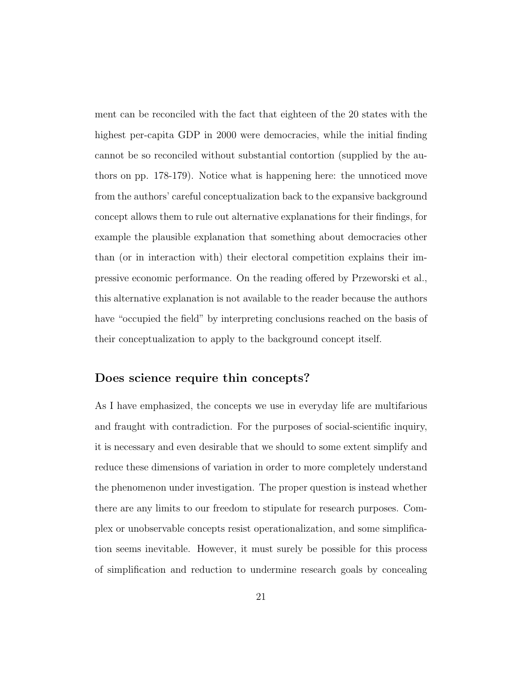ment can be reconciled with the fact that eighteen of the 20 states with the highest per-capita GDP in 2000 were democracies, while the initial finding cannot be so reconciled without substantial contortion (supplied by the authors on pp. 178-179). Notice what is happening here: the unnoticed move from the authors' careful conceptualization back to the expansive background concept allows them to rule out alternative explanations for their findings, for example the plausible explanation that something about democracies other than (or in interaction with) their electoral competition explains their impressive economic performance. On the reading offered by Przeworski et al., this alternative explanation is not available to the reader because the authors have "occupied the field" by interpreting conclusions reached on the basis of their conceptualization to apply to the background concept itself.

#### Does science require thin concepts?

As I have emphasized, the concepts we use in everyday life are multifarious and fraught with contradiction. For the purposes of social-scientific inquiry, it is necessary and even desirable that we should to some extent simplify and reduce these dimensions of variation in order to more completely understand the phenomenon under investigation. The proper question is instead whether there are any limits to our freedom to stipulate for research purposes. Complex or unobservable concepts resist operationalization, and some simplification seems inevitable. However, it must surely be possible for this process of simplification and reduction to undermine research goals by concealing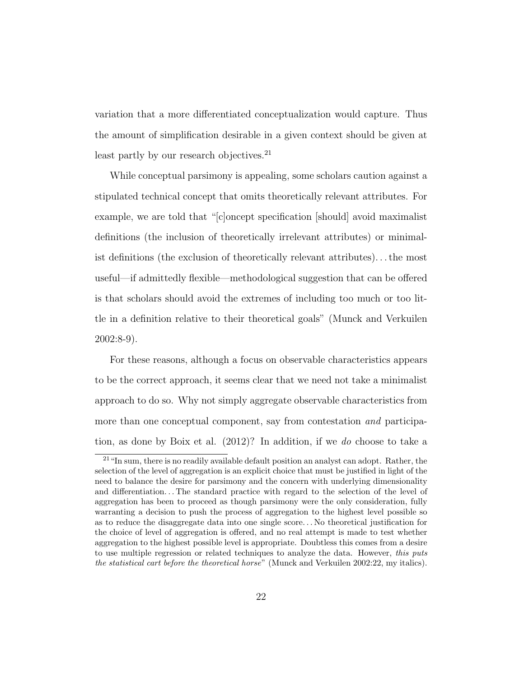variation that a more differentiated conceptualization would capture. Thus the amount of simplification desirable in a given context should be given at least partly by our research objectives.<sup>21</sup>

While conceptual parsimony is appealing, some scholars caution against a stipulated technical concept that omits theoretically relevant attributes. For example, we are told that "[c]oncept specification [should] avoid maximalist definitions (the inclusion of theoretically irrelevant attributes) or minimalist definitions (the exclusion of theoretically relevant attributes). . . the most useful—if admittedly flexible—methodological suggestion that can be offered is that scholars should avoid the extremes of including too much or too little in a definition relative to their theoretical goals" (Munck and Verkuilen 2002:8-9).

For these reasons, although a focus on observable characteristics appears to be the correct approach, it seems clear that we need not take a minimalist approach to do so. Why not simply aggregate observable characteristics from more than one conceptual component, say from contestation and participation, as done by Boix et al. (2012)? In addition, if we do choose to take a

<sup>&</sup>lt;sup>21</sup> "In sum, there is no readily available default position an analyst can adopt. Rather, the selection of the level of aggregation is an explicit choice that must be justified in light of the need to balance the desire for parsimony and the concern with underlying dimensionality and differentiation... The standard practice with regard to the selection of the level of aggregation has been to proceed as though parsimony were the only consideration, fully warranting a decision to push the process of aggregation to the highest level possible so as to reduce the disaggregate data into one single score. . . No theoretical justification for the choice of level of aggregation is offered, and no real attempt is made to test whether aggregation to the highest possible level is appropriate. Doubtless this comes from a desire to use multiple regression or related techniques to analyze the data. However, this puts the statistical cart before the theoretical horse" (Munck and Verkuilen 2002:22, my italics).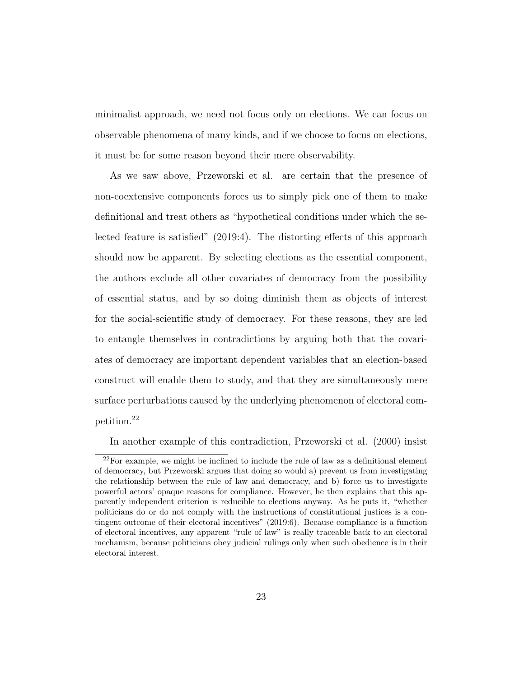minimalist approach, we need not focus only on elections. We can focus on observable phenomena of many kinds, and if we choose to focus on elections, it must be for some reason beyond their mere observability.

As we saw above, Przeworski et al. are certain that the presence of non-coextensive components forces us to simply pick one of them to make definitional and treat others as "hypothetical conditions under which the selected feature is satisfied" (2019:4). The distorting effects of this approach should now be apparent. By selecting elections as the essential component, the authors exclude all other covariates of democracy from the possibility of essential status, and by so doing diminish them as objects of interest for the social-scientific study of democracy. For these reasons, they are led to entangle themselves in contradictions by arguing both that the covariates of democracy are important dependent variables that an election-based construct will enable them to study, and that they are simultaneously mere surface perturbations caused by the underlying phenomenon of electoral competition.<sup>22</sup>

In another example of this contradiction, Przeworski et al. (2000) insist

<sup>22</sup>For example, we might be inclined to include the rule of law as a definitional element of democracy, but Przeworski argues that doing so would a) prevent us from investigating the relationship between the rule of law and democracy, and b) force us to investigate powerful actors' opaque reasons for compliance. However, he then explains that this apparently independent criterion is reducible to elections anyway. As he puts it, "whether politicians do or do not comply with the instructions of constitutional justices is a contingent outcome of their electoral incentives" (2019:6). Because compliance is a function of electoral incentives, any apparent "rule of law" is really traceable back to an electoral mechanism, because politicians obey judicial rulings only when such obedience is in their electoral interest.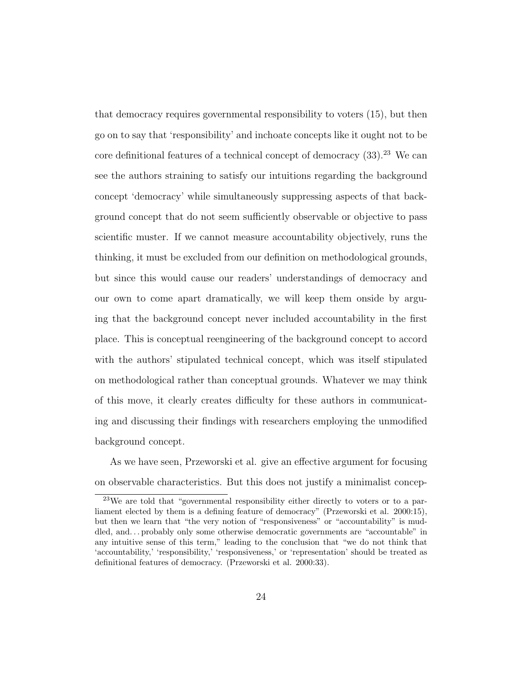that democracy requires governmental responsibility to voters (15), but then go on to say that 'responsibility' and inchoate concepts like it ought not to be core definitional features of a technical concept of democracy  $(33)$ <sup>23</sup>. We can see the authors straining to satisfy our intuitions regarding the background concept 'democracy' while simultaneously suppressing aspects of that background concept that do not seem sufficiently observable or objective to pass scientific muster. If we cannot measure accountability objectively, runs the thinking, it must be excluded from our definition on methodological grounds, but since this would cause our readers' understandings of democracy and our own to come apart dramatically, we will keep them onside by arguing that the background concept never included accountability in the first place. This is conceptual reengineering of the background concept to accord with the authors' stipulated technical concept, which was itself stipulated on methodological rather than conceptual grounds. Whatever we may think of this move, it clearly creates difficulty for these authors in communicating and discussing their findings with researchers employing the unmodified background concept.

As we have seen, Przeworski et al. give an effective argument for focusing on observable characteristics. But this does not justify a minimalist concep-

<sup>23</sup>We are told that "governmental responsibility either directly to voters or to a parliament elected by them is a defining feature of democracy" (Przeworski et al. 2000:15), but then we learn that "the very notion of "responsiveness" or "accountability" is muddled, and... probably only some otherwise democratic governments are "accountable" in any intuitive sense of this term," leading to the conclusion that "we do not think that 'accountability,' 'responsibility,' 'responsiveness,' or 'representation' should be treated as definitional features of democracy. (Przeworski et al. 2000:33).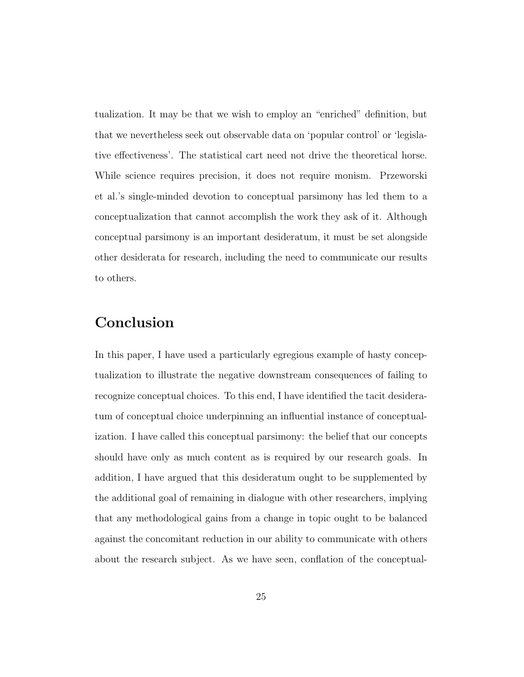tualization. It may be that we wish to employ an "enriched" definition, but that we nevertheless seek out observable data on 'popular control' or 'legislative effectiveness'. The statistical cart need not drive the theoretical horse. While science requires precision, it does not require monism. Przeworski et al.'s single-minded devotion to conceptual parsimony has led them to a conceptualization that cannot accomplish the work they ask of it. Although conceptual parsimony is an important desideratum, it must be set alongside other desiderata for research, including the need to communicate our results to others.

### Conclusion

In this paper, I have used a particularly egregious example of hasty conceptualization to illustrate the negative downstream consequences of failing to recognize conceptual choices. To this end, I have identified the tacit desideratum of conceptual choice underpinning an influential instance of conceptualization. I have called this conceptual parsimony: the belief that our concepts should have only as much content as is required by our research goals. In addition, I have argued that this desideratum ought to be supplemented by the additional goal of remaining in dialogue with other researchers, implying that any methodological gains from a change in topic ought to be balanced against the concomitant reduction in our ability to communicate with others about the research subject. As we have seen, conflation of the conceptual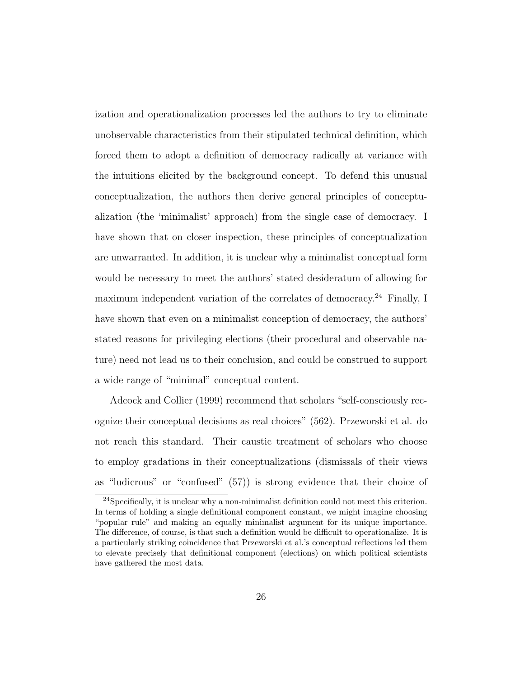ization and operationalization processes led the authors to try to eliminate unobservable characteristics from their stipulated technical definition, which forced them to adopt a definition of democracy radically at variance with the intuitions elicited by the background concept. To defend this unusual conceptualization, the authors then derive general principles of conceptualization (the 'minimalist' approach) from the single case of democracy. I have shown that on closer inspection, these principles of conceptualization are unwarranted. In addition, it is unclear why a minimalist conceptual form would be necessary to meet the authors' stated desideratum of allowing for maximum independent variation of the correlates of democracy.<sup>24</sup> Finally, I have shown that even on a minimalist conception of democracy, the authors' stated reasons for privileging elections (their procedural and observable nature) need not lead us to their conclusion, and could be construed to support a wide range of "minimal" conceptual content.

Adcock and Collier (1999) recommend that scholars "self-consciously recognize their conceptual decisions as real choices" (562). Przeworski et al. do not reach this standard. Their caustic treatment of scholars who choose to employ gradations in their conceptualizations (dismissals of their views as "ludicrous" or "confused" (57)) is strong evidence that their choice of

 $24$ Specifically, it is unclear why a non-minimalist definition could not meet this criterion. In terms of holding a single definitional component constant, we might imagine choosing "popular rule" and making an equally minimalist argument for its unique importance. The difference, of course, is that such a definition would be difficult to operationalize. It is a particularly striking coincidence that Przeworski et al.'s conceptual reflections led them to elevate precisely that definitional component (elections) on which political scientists have gathered the most data.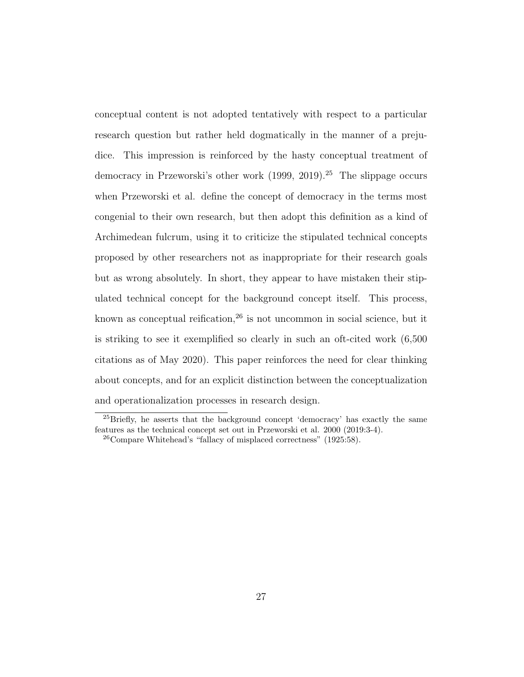conceptual content is not adopted tentatively with respect to a particular research question but rather held dogmatically in the manner of a prejudice. This impression is reinforced by the hasty conceptual treatment of democracy in Przeworski's other work (1999, 2019).<sup>25</sup> The slippage occurs when Przeworski et al. define the concept of democracy in the terms most congenial to their own research, but then adopt this definition as a kind of Archimedean fulcrum, using it to criticize the stipulated technical concepts proposed by other researchers not as inappropriate for their research goals but as wrong absolutely. In short, they appear to have mistaken their stipulated technical concept for the background concept itself. This process, known as conceptual reification, $26$  is not uncommon in social science, but it is striking to see it exemplified so clearly in such an oft-cited work (6,500 citations as of May 2020). This paper reinforces the need for clear thinking about concepts, and for an explicit distinction between the conceptualization and operationalization processes in research design.

<sup>&</sup>lt;sup>25</sup>Briefly, he asserts that the background concept 'democracy' has exactly the same features as the technical concept set out in Przeworski et al. 2000 (2019:3-4).

 $^{26}$ Compare Whitehead's "fallacy of misplaced correctness" (1925:58).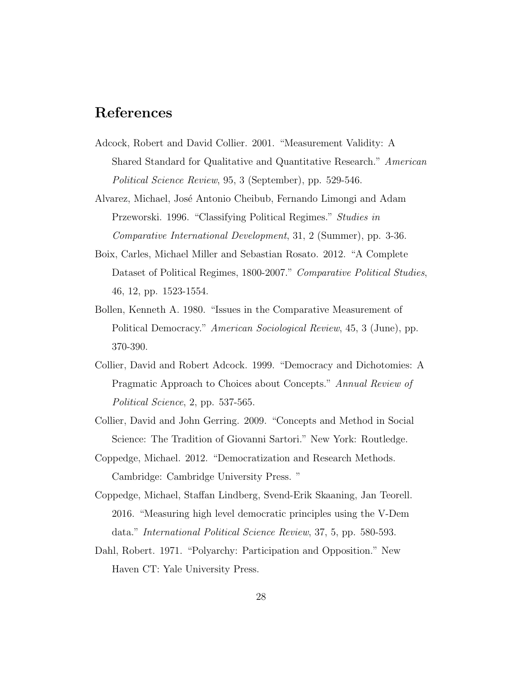#### References

- Adcock, Robert and David Collier. 2001. "Measurement Validity: A Shared Standard for Qualitative and Quantitative Research." American Political Science Review, 95, 3 (September), pp. 529-546.
- Alvarez, Michael, Jos´e Antonio Cheibub, Fernando Limongi and Adam Przeworski. 1996. "Classifying Political Regimes." Studies in Comparative International Development, 31, 2 (Summer), pp. 3-36.
- Boix, Carles, Michael Miller and Sebastian Rosato. 2012. "A Complete Dataset of Political Regimes, 1800-2007." Comparative Political Studies, 46, 12, pp. 1523-1554.
- Bollen, Kenneth A. 1980. "Issues in the Comparative Measurement of Political Democracy." American Sociological Review, 45, 3 (June), pp. 370-390.
- Collier, David and Robert Adcock. 1999. "Democracy and Dichotomies: A Pragmatic Approach to Choices about Concepts." Annual Review of Political Science, 2, pp. 537-565.
- Collier, David and John Gerring. 2009. "Concepts and Method in Social Science: The Tradition of Giovanni Sartori." New York: Routledge.
- Coppedge, Michael. 2012. "Democratization and Research Methods. Cambridge: Cambridge University Press. "
- Coppedge, Michael, Staffan Lindberg, Svend-Erik Skaaning, Jan Teorell. 2016. "Measuring high level democratic principles using the V-Dem data." International Political Science Review, 37, 5, pp. 580-593.
- Dahl, Robert. 1971. "Polyarchy: Participation and Opposition." New Haven CT: Yale University Press.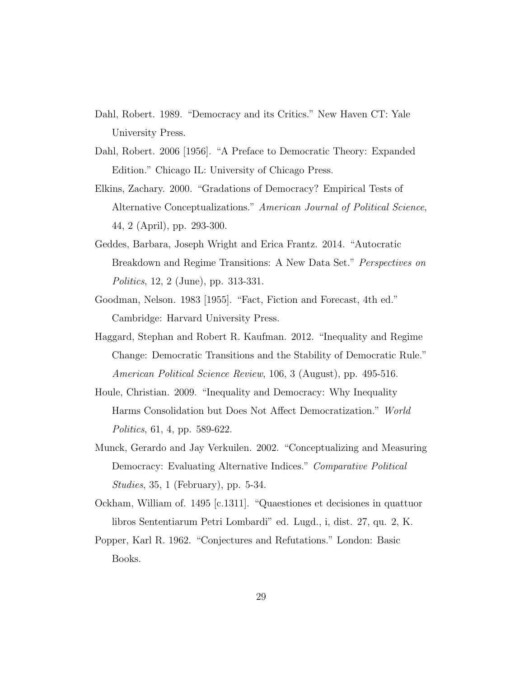- Dahl, Robert. 1989. "Democracy and its Critics." New Haven CT: Yale University Press.
- Dahl, Robert. 2006 [1956]. "A Preface to Democratic Theory: Expanded Edition." Chicago IL: University of Chicago Press.
- Elkins, Zachary. 2000. "Gradations of Democracy? Empirical Tests of Alternative Conceptualizations." American Journal of Political Science, 44, 2 (April), pp. 293-300.
- Geddes, Barbara, Joseph Wright and Erica Frantz. 2014. "Autocratic Breakdown and Regime Transitions: A New Data Set." Perspectives on Politics, 12, 2 (June), pp. 313-331.
- Goodman, Nelson. 1983 [1955]. "Fact, Fiction and Forecast, 4th ed." Cambridge: Harvard University Press.
- Haggard, Stephan and Robert R. Kaufman. 2012. "Inequality and Regime Change: Democratic Transitions and the Stability of Democratic Rule." American Political Science Review, 106, 3 (August), pp. 495-516.
- Houle, Christian. 2009. "Inequality and Democracy: Why Inequality Harms Consolidation but Does Not Affect Democratization." World Politics, 61, 4, pp. 589-622.
- Munck, Gerardo and Jay Verkuilen. 2002. "Conceptualizing and Measuring Democracy: Evaluating Alternative Indices." Comparative Political Studies, 35, 1 (February), pp. 5-34.
- Ockham, William of. 1495 [c.1311]. "Quaestiones et decisiones in quattuor libros Sententiarum Petri Lombardi" ed. Lugd., i, dist. 27, qu. 2, K.
- Popper, Karl R. 1962. "Conjectures and Refutations." London: Basic Books.